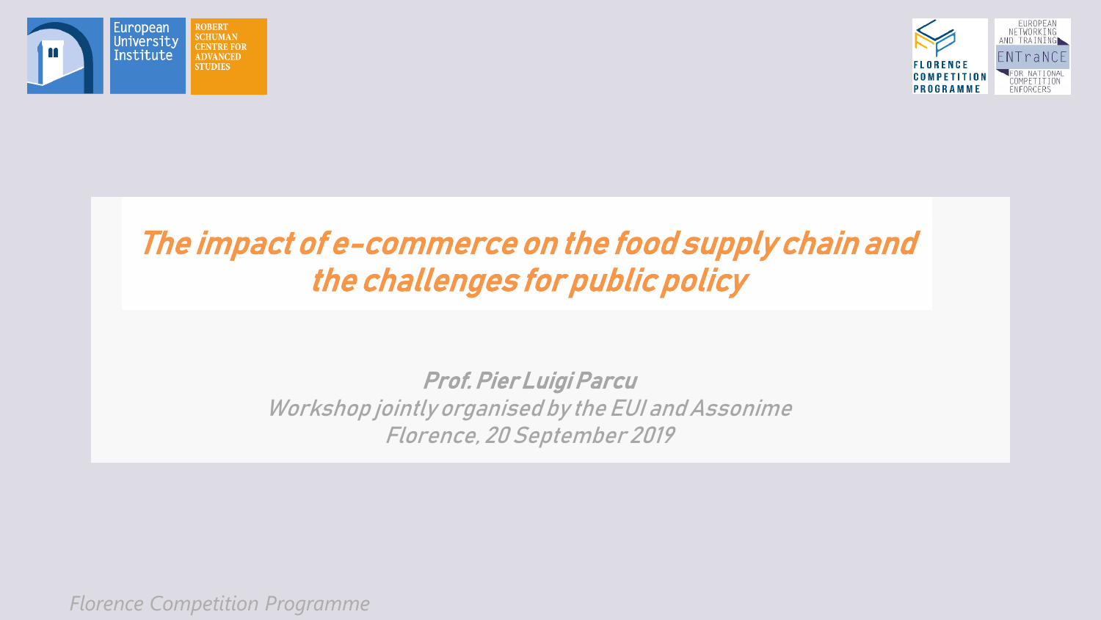



#### The impact of e-commerce on the food supply chain and the challenges for public policy

#### Prof.Pier Luigi Parcu Workshop jointly organised by the EUI and Assonime Florence, 20 September 2019

*Florence Competition Programme*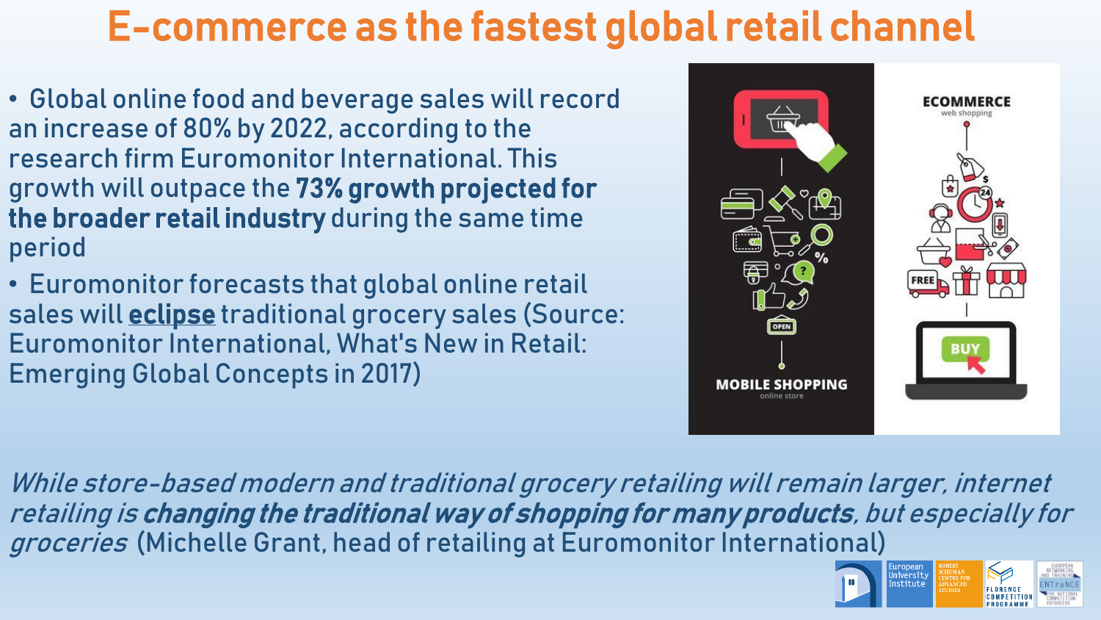### E-commerce as the fastest global retail channel

- Global online food and beverage sales will record an increase of 80% by 2022, according to the research firm Euromonitor International. This growth will outpace the 73% growth projected for the broader retail industry during the same time period
- Euromonitor forecasts that global online retail sales will **eclipse** traditional grocery sales (Source: Euromonitor International, What's New in Retail: Emerging Global Concepts in 2017)



While store-based modern and traditional grocery retailing will remain larger, internet retailing is changing the traditional way of shopping for many products, but especially for groceries (Michelle Grant, head of retailing at Euromonitor International)

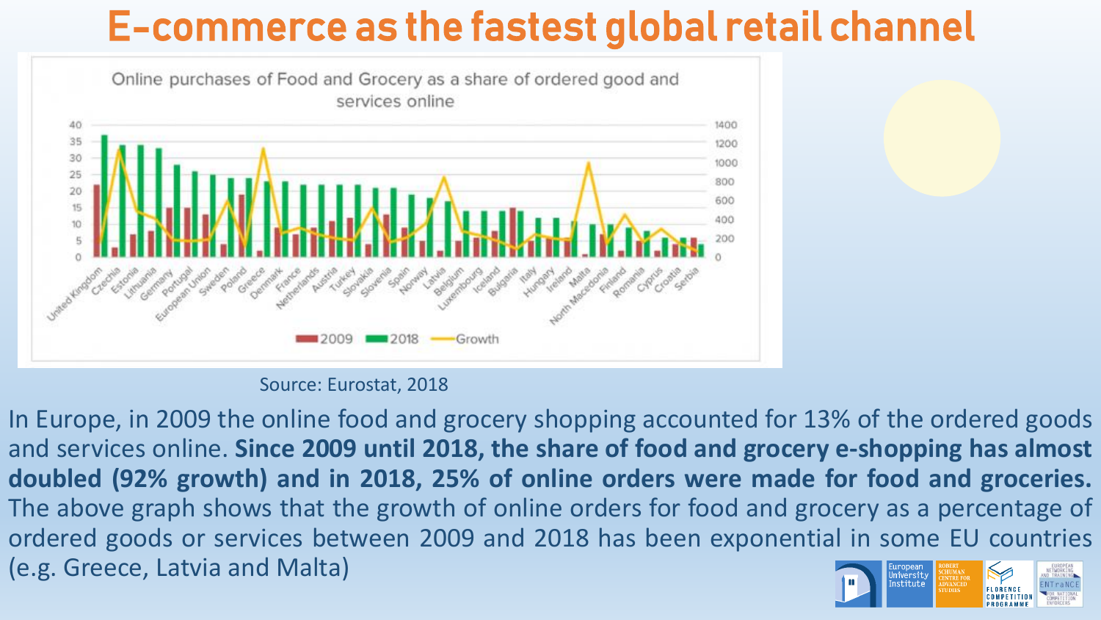## E-commerce as the fastest global retail channel



Source: Eurostat, 2018

In Europe, in 2009 the online food and grocery shopping accounted for 13% of the ordered goods and services online. **Since 2009 until 2018, the share of food and grocery e-shopping has almost doubled (92% growth) and in 2018, 25% of online orders were made for food and groceries.** The above graph shows that the growth of online orders for food and grocery as a percentage of ordered goods or services between 2009 and 2018 has been exponential in some EU countries (e.g. Greece, Latvia and Malta) University Institute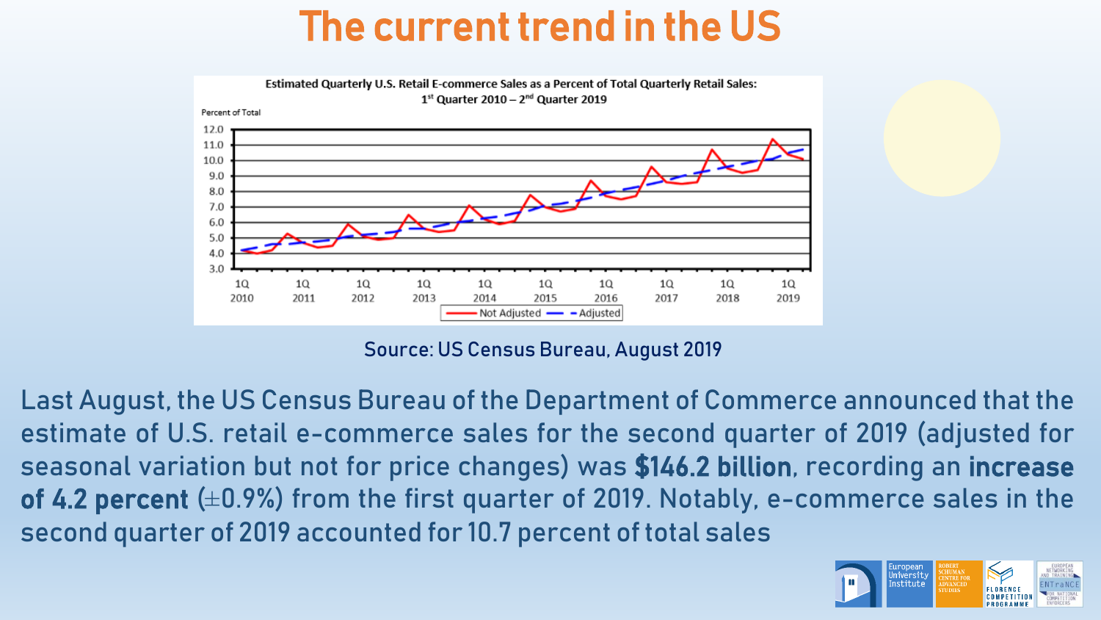### The current trend in the US



Source: US Census Bureau, August 2019

Last August, the US Census Bureau of the Department of Commerce announced that the estimate of U.S. retail e-commerce sales for the second quarter of 2019 (adjusted for seasonal variation but not for price changes) was \$146.2 billion, recording an increase of 4.2 percent (±0.9%) from the first quarter of 2019. Notably, e-commerce sales in the second quarter of 2019 accounted for 10.7 percent of total sales

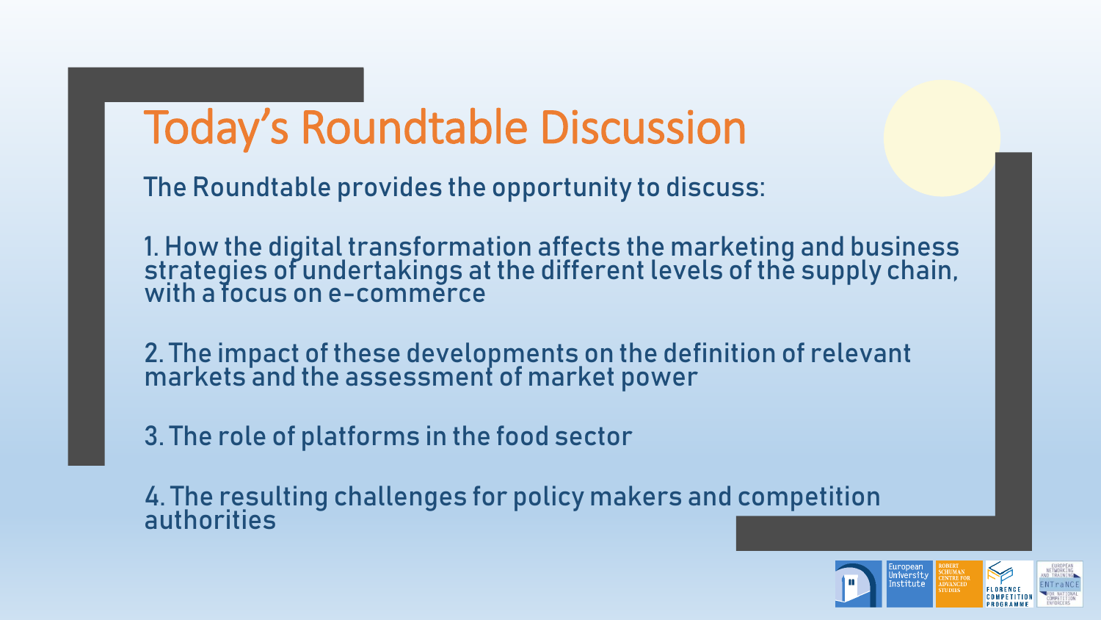# Today's Roundtable Discussion

The Roundtable provides the opportunity to discuss:

1. How the digital transformation affects the marketing and business strategies of undertakings at the different levels of the supply chain, with a focus on e-commerce

2. The impact of these developments on the definition of relevant markets and the assessment of market power

3. The role of platforms in the food sector

4. The resulting challenges for policy makers and competition authorities